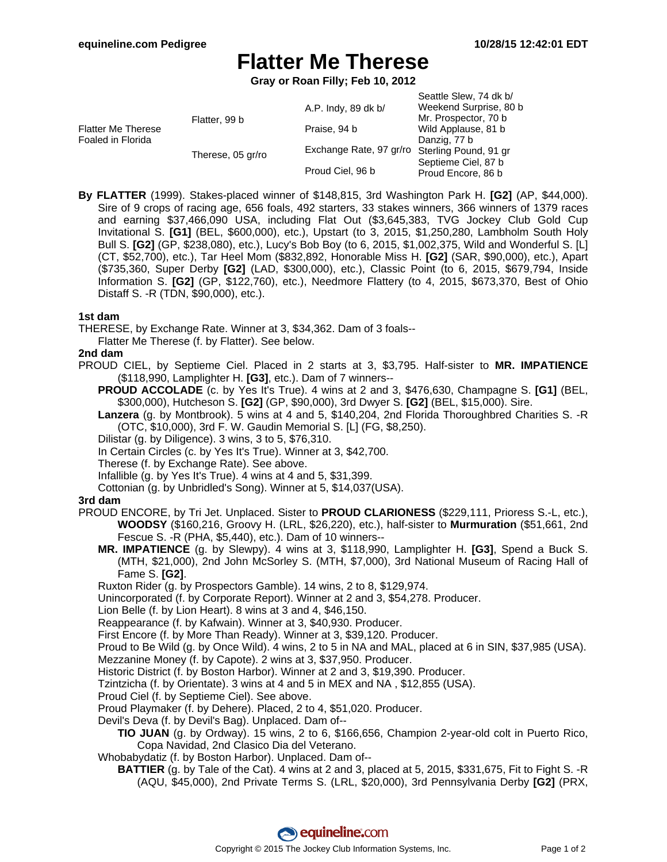# **Flatter Me Therese**

**Gray or Roan Filly; Feb 10, 2012**

| Seattle Slew, 74 dk b/                        |
|-----------------------------------------------|
| Weekend Surprise, 80 b                        |
| Mr. Prospector, 70 b                          |
| Wild Applause, 81 b                           |
| Danzig, 77 b                                  |
| Exchange Rate, 97 gr/ro Sterling Pound, 91 gr |
| Septieme Ciel, 87 b<br>Proud Encore, 86 b     |
|                                               |

**By FLATTER** (1999). Stakes-placed winner of \$148,815, 3rd Washington Park H. **[G2]** (AP, \$44,000). Sire of 9 crops of racing age, 656 foals, 492 starters, 33 stakes winners, 366 winners of 1379 races and earning \$37,466,090 USA, including Flat Out (\$3,645,383, TVG Jockey Club Gold Cup Invitational S. **[G1]** (BEL, \$600,000), etc.), Upstart (to 3, 2015, \$1,250,280, Lambholm South Holy Bull S. **[G2]** (GP, \$238,080), etc.), Lucy's Bob Boy (to 6, 2015, \$1,002,375, Wild and Wonderful S. [L] (CT, \$52,700), etc.), Tar Heel Mom (\$832,892, Honorable Miss H. **[G2]** (SAR, \$90,000), etc.), Apart (\$735,360, Super Derby **[G2]** (LAD, \$300,000), etc.), Classic Point (to 6, 2015, \$679,794, Inside Information S. **[G2]** (GP, \$122,760), etc.), Needmore Flattery (to 4, 2015, \$673,370, Best of Ohio Distaff S. -R (TDN, \$90,000), etc.).

# **1st dam**

THERESE, by Exchange Rate. Winner at 3, \$34,362. Dam of 3 foals--

Flatter Me Therese (f. by Flatter). See below.

### **2nd dam**

- PROUD CIEL, by Septieme Ciel. Placed in 2 starts at 3, \$3,795. Half-sister to **MR. IMPATIENCE** (\$118,990, Lamplighter H. **[G3]**, etc.). Dam of 7 winners--
	- **PROUD ACCOLADE** (c. by Yes It's True). 4 wins at 2 and 3, \$476,630, Champagne S. **[G1]** (BEL, \$300,000), Hutcheson S. **[G2]** (GP, \$90,000), 3rd Dwyer S. **[G2]** (BEL, \$15,000). Sire.
	- **Lanzera** (g. by Montbrook). 5 wins at 4 and 5, \$140,204, 2nd Florida Thoroughbred Charities S. -R (OTC, \$10,000), 3rd F. W. Gaudin Memorial S. [L] (FG, \$8,250).
	- Dilistar (g. by Diligence). 3 wins, 3 to 5, \$76,310.
	- In Certain Circles (c. by Yes It's True). Winner at 3, \$42,700.

Therese (f. by Exchange Rate). See above.

Infallible (g. by Yes It's True). 4 wins at 4 and 5, \$31,399.

Cottonian (g. by Unbridled's Song). Winner at 5, \$14,037(USA).

#### **3rd dam**

- PROUD ENCORE, by Tri Jet. Unplaced. Sister to **PROUD CLARIONESS** (\$229,111, Prioress S.-L, etc.), **WOODSY** (\$160,216, Groovy H. (LRL, \$26,220), etc.), half-sister to **Murmuration** (\$51,661, 2nd Fescue S. -R (PHA, \$5,440), etc.). Dam of 10 winners--
	- **MR. IMPATIENCE** (g. by Slewpy). 4 wins at 3, \$118,990, Lamplighter H. **[G3]**, Spend a Buck S. (MTH, \$21,000), 2nd John McSorley S. (MTH, \$7,000), 3rd National Museum of Racing Hall of Fame S. **[G2]**.

Ruxton Rider (g. by Prospectors Gamble). 14 wins, 2 to 8, \$129,974.

Unincorporated (f. by Corporate Report). Winner at 2 and 3, \$54,278. Producer.

Lion Belle (f. by Lion Heart). 8 wins at 3 and 4, \$46,150.

Reappearance (f. by Kafwain). Winner at 3, \$40,930. Producer.

First Encore (f. by More Than Ready). Winner at 3, \$39,120. Producer.

Proud to Be Wild (g. by Once Wild). 4 wins, 2 to 5 in NA and MAL, placed at 6 in SIN, \$37,985 (USA).

Mezzanine Money (f. by Capote). 2 wins at 3, \$37,950. Producer.

Historic District (f. by Boston Harbor). Winner at 2 and 3, \$19,390. Producer.

Tzintzicha (f. by Orientate). 3 wins at 4 and 5 in MEX and NA , \$12,855 (USA).

Proud Ciel (f. by Septieme Ciel). See above.

Proud Playmaker (f. by Dehere). Placed, 2 to 4, \$51,020. Producer.

Devil's Deva (f. by Devil's Bag). Unplaced. Dam of--

**TIO JUAN** (g. by Ordway). 15 wins, 2 to 6, \$166,656, Champion 2-year-old colt in Puerto Rico, Copa Navidad, 2nd Clasico Dia del Veterano.

Whobabydatiz (f. by Boston Harbor). Unplaced. Dam of--

**BATTIER** (g. by Tale of the Cat). 4 wins at 2 and 3, placed at 5, 2015, \$331,675, Fit to Fight S. -R (AQU, \$45,000), 2nd Private Terms S. (LRL, \$20,000), 3rd Pennsylvania Derby **[G2]** (PRX,